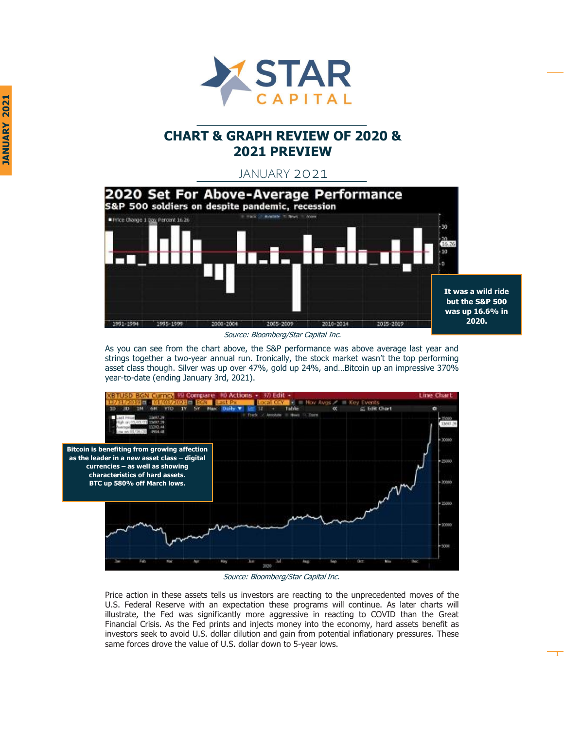

# **CHART & GRAPH REVIEW OF 2020 & 2021 PREVIEW**

JANUARY 2021



Source: Bloomberg/Star Capital Inc.

As you can see from the chart above, the S&P performance was above average last year and strings together a two-year annual run. Ironically, the stock market wasn't the top performing asset class though. Silver was up over 47%, gold up 24%, and…Bitcoin up an impressive 370% year-to-date (ending January 3rd, 2021).



Source: Bloomberg/Star Capital Inc.

Price action in these assets tells us investors are reacting to the unprecedented moves of the U.S. Federal Reserve with an expectation these programs will continue. As later charts will illustrate, the Fed was significantly more aggressive in reacting to COVID than the Great Financial Crisis. As the Fed prints and injects money into the economy, hard assets benefit as investors seek to avoid U.S. dollar dilution and gain from potential inflationary pressures. These same forces drove the value of U.S. dollar down to 5-year lows.

1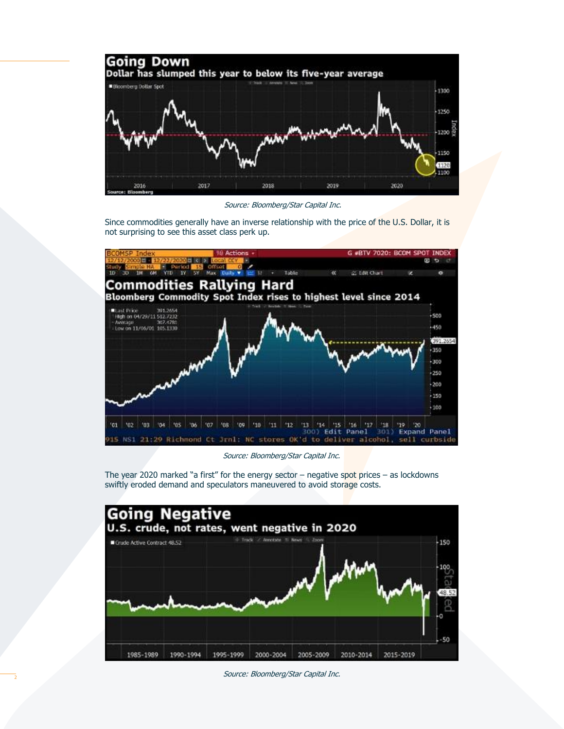

Source: Bloomberg/Star Capital Inc.

Since commodities generally have an inverse relationship with the price of the U.S. Dollar, it is not surprising to see this asset class perk up.



Source: Bloomberg/Star Capital Inc.

The year 2020 marked "a first" for the energy sector  $-$  negative spot prices  $-$  as lockdowns swiftly eroded demand and speculators maneuvered to avoid storage costs.



Source: Bloomberg/Star Capital Inc.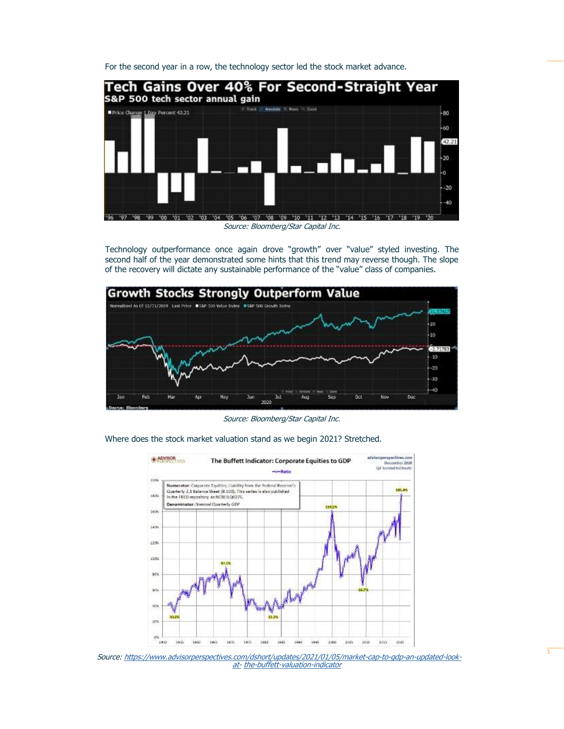For the second year in a row, the technology sector led the stock market advance.



Technology outperformance once again drove "growth" over "value" styled investing. The second half of the year demonstrated some hints that this trend may reverse though. The slope of the recovery will dictate any sustainable performance of the "value" class of companies.



Source: Bloomberg/Star Capital Inc.

advivorperspectives.com<br>December 2020<br>Q3 Second Estimate **B ADVISOR** The Buffett Indicator: Corporate Equities to GDP -o-Ratio sing Numerator: Corporate Equities: Uability from the Federal Reserve's<br>Quarterly 2.1 Balance Sheet (B.103). This series is also published 181.4% 180 In the FRED repository as NCBERO0275. Denominator: Nominal Quarterly GDP  $\overline{1}$ tech 1400 120%  $1000$ 80% so. 405  $22.25$  $\overline{1}$  $Q\%$  $1970$ 1993  $3045$ 3000 1930 192 1960 1965  $1975$ 1985 1990 1995 3000 3505 3030

Where does the stock market valuation stand as we begin 2021? Stretched.

Source: [https://www.advisorperspectives.com/dshort/updates/2021/01/05/market-cap-to-gdp-an-updated-look](http://www.advisorperspectives.com/dshort/updates/2021/01/05/market-cap-to-gdp-an-updated-look-at-)at- the-buffett-valuation-indicator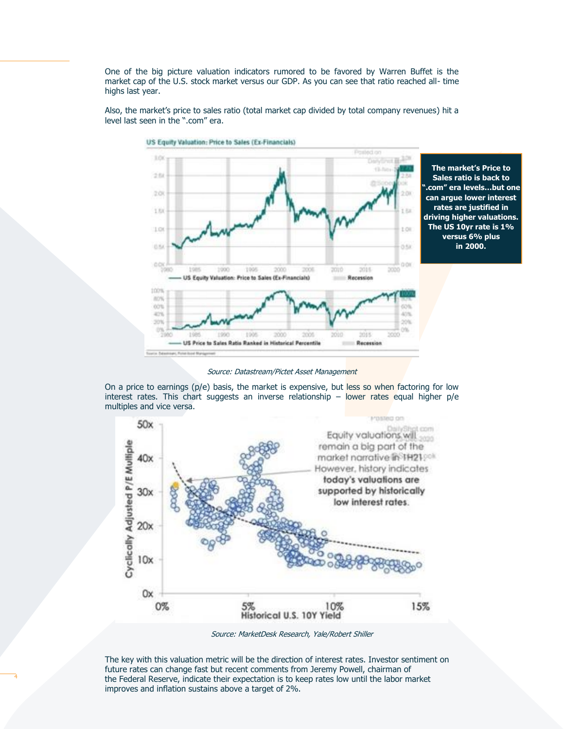One of the big picture valuation indicators rumored to be favored by Warren Buffet is the market cap of the U.S. stock market versus our GDP. As you can see that ratio reached all- time highs last year.



Also, the market's price to sales ratio (total market cap divided by total company revenues) hit a level last seen in the ".com" era.

US Equity Valuation: Price to Sales (Ex-Financials)

**Sales ratio is back to ".com" era levels…but one can argue lower interest rates are justified in driving higher valuations. The US 10yr rate is 1% versus 6% plus in 2000.**

**The market's Price to** 

Source: Datastream/Pictet Asset Management

On a price to earnings (p/e) basis, the market is expensive, but less so when factoring for low interest rates. This chart suggests an inverse relationship – lower rates equal higher p/e multiples and vice versa.



Source: MarketDesk Research, Yale/Robert Shiller

The key with this valuation metric will be the direction of interest rates. Investor sentiment on future rates can change fast but recent comments from Jeremy Powell, chairman of the Federal Reserve, indicate their expectation is to keep rates low until the labor market improves and inflation sustains above a target of 2%.

4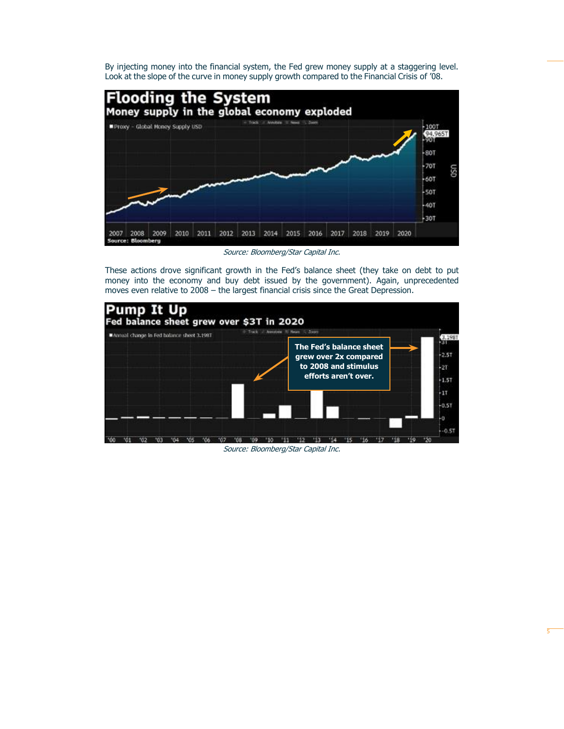By injecting money into the financial system, the Fed grew money supply at a staggering level. Look at the slope of the curve in money supply growth compared to the Financial Crisis of '08.



Source: Bloomberg/Star Capital Inc.

These actions drove significant growth in the Fed's balance sheet (they take on debt to put money into the economy and buy debt issued by the government). Again, unprecedented moves even relative to 2008 – the largest financial crisis since the Great Depression.



Source: Bloomberg/Star Capital Inc.

5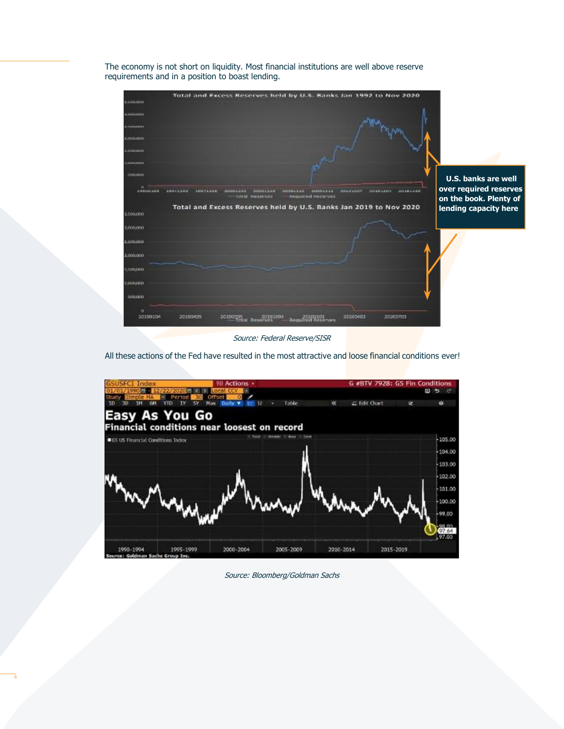The economy is not short on liquidity. Most financial institutions are well above reserve requirements and in a position to boast lending.



Source: Federal Reserve/SISR

All these actions of the Fed have resulted in the most attractive and loose financial conditions ever!



Source: Bloomberg/Goldman Sachs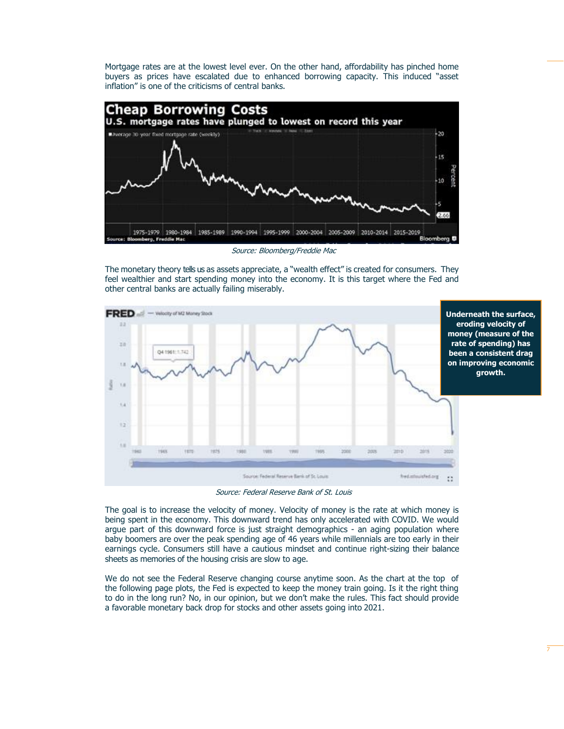Mortgage rates are at the lowest level ever. On the other hand, affordability has pinched home buyers as prices have escalated due to enhanced borrowing capacity. This induced "asset inflation" is one of the criticisms of central banks.



Source: Bloomberg/Freddie Mac

The monetary theory tells us as assets appreciate, a "wealth effect" is created for consumers. They feel wealthier and start spending money into the economy. It is this target where the Fed and other central banks are actually failing miserably.



Source: Federal Reserve Bank of St. Louis

The goal is to increase the velocity of money. Velocity of money is the rate at which money is being spent in the economy. This downward trend has only accelerated with COVID. We would argue part of this downward force is just straight demographics - an aging population where baby boomers are over the peak spending age of 46 years while millennials are too early in their earnings cycle. Consumers still have a cautious mindset and continue right-sizing their balance sheets as memories of the housing crisis are slow to age.

We do not see the Federal Reserve changing course anytime soon. As the chart at the top of the following page plots, the Fed is expected to keep the money train going. Is it the right thing to do in the long run? No, in our opinion, but we don't make the rules. This fact should provide a favorable monetary back drop for stocks and other assets going into 2021.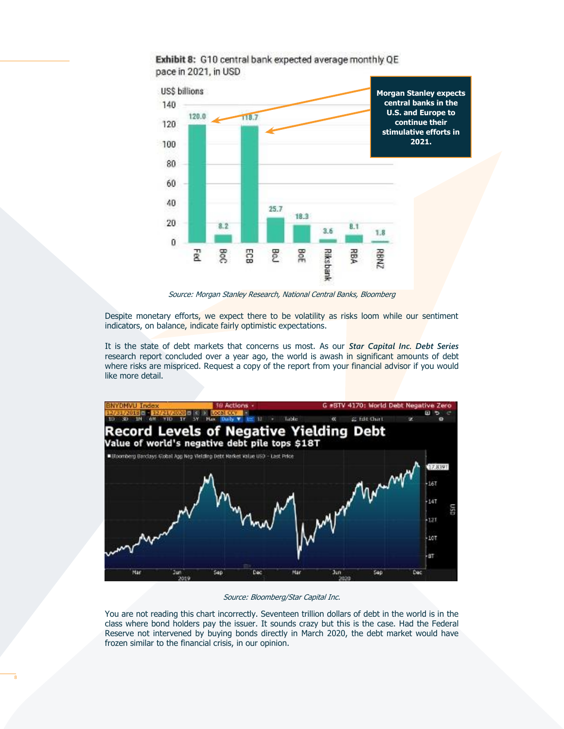

### Exhibit 8: G10 central bank expected average monthly QE pace in 2021, in USD

Source: Morgan Stanley Research, National Central Banks, Bloomberg

Despite monetary efforts, we expect there to be volatility as risks loom while our sentiment indicators, on balance, indicate fairly optimistic expectations.

It is the state of debt markets that concerns us most. As our *Star Capital Inc. Debt Series*  research report concluded over a year ago, the world is awash in significant amounts of debt where risks are mispriced. Request a copy of the report from your financial advisor if you would like more detail.



#### Source: Bloomberg/Star Capital Inc.

You are not reading this chart incorrectly. Seventeen trillion dollars of debt in the world is in the class where bond holders pay the issuer. It sounds crazy but this is the case. Had the Federal Reserve not intervened by buying bonds directly in March 2020, the debt market would have frozen similar to the financial crisis, in our opinion.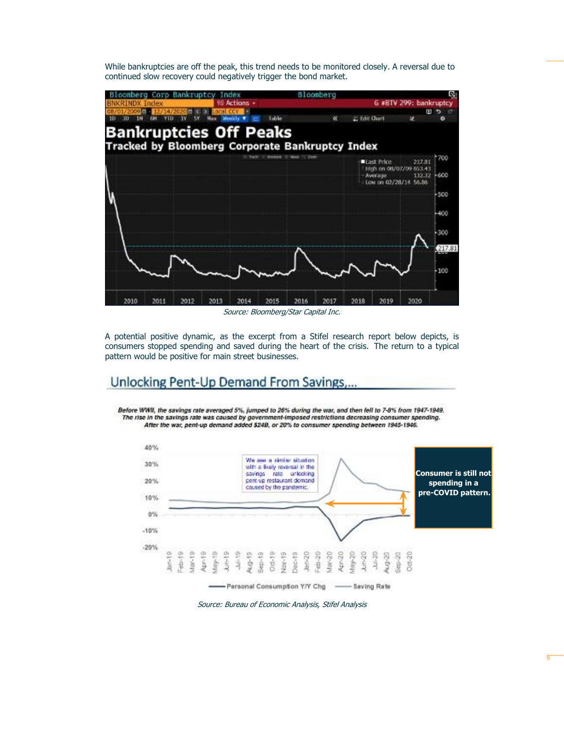While bankruptcies are off the peak, this trend needs to be monitored closely. A reversal due to continued slow recovery could negatively trigger the bond market.



Source: Bloomberg/Star Capital Inc.

A potential positive dynamic, as the excerpt from a Stifel research report below depicts, is consumers stopped spending and saved during the heart of the crisis. The return to a typical pattern would be positive for main street businesses.

## Unlocking Pent-Up Demand From Savings

Before WWII, the savings rate averaged 5%, jumped to 26% during the war, and then fell to 7-8% from 1947-1949. The rise in the savings rate was caused by government-imposed restrictions decreasing consumer spending. After the war, pent-up demand added \$24B, or 20% to consumer spending between 1945-1946.



Source: Bureau of Economic Analysis, Stifel Analysis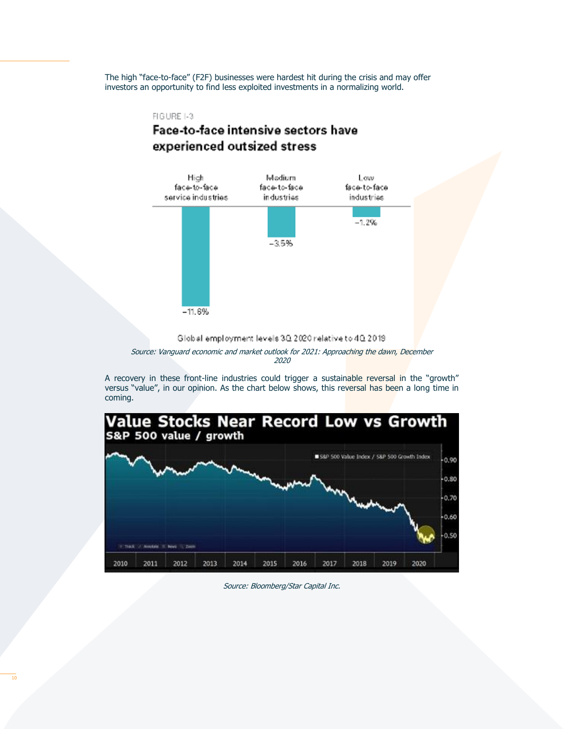The high "face-to-face" (F2F) businesses were hardest hit during the crisis and may offer investors an opportunity to find less exploited investments in a normalizing world.

### FIGURE 1-3

# Face-to-face intensive sectors have experienced outsized stress



Global employment levels 3Q 2020 relative to 4Q 2019. Source: Vanguard economic and market outlook for 2021: Approaching the dawn, December 2020

A recovery in these front-line industries could trigger a sustainable reversal in the "growth" versus "value", in our opinion. As the chart below shows, this reversal has been a long time in coming.



Source: Bloomberg/Star Capital Inc.